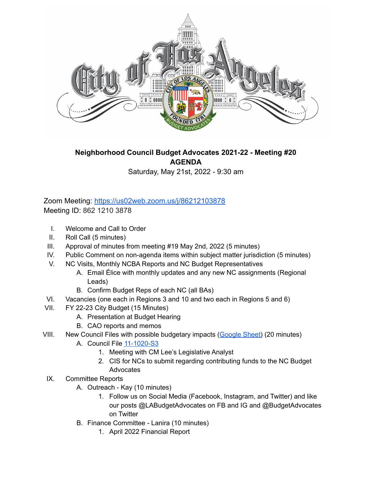

## **Neighborhood Council Budget Advocates 2021-22 - Meeting #20 AGENDA**

Saturday, May 21st, 2022 - 9:30 am

## Zoom Meeting: <https://us02web.zoom.us/j/86212103878> Meeting ID: 862 1210 3878

- I. Welcome and Call to Order
- II. Roll Call (5 minutes)
- III. Approval of minutes from meeting #19 May 2nd, 2022 (5 minutes)
- IV. Public Comment on non-agenda items within subject matter jurisdiction (5 minutes)
- V. NC Visits, Monthly NCBA Reports and NC Budget Representatives
	- A. Email Élice with monthly updates and any new NC assignments (Regional Leads)
	- B. Confirm Budget Reps of each NC (all BAs)
- VI. Vacancies (one each in Regions 3 and 10 and two each in Regions 5 and 6)
- VII. FY 22-23 City Budget (15 Minutes)
	- A. Presentation at Budget Hearing
	- B. CAO reports and memos
- VIII. New Council Files with possible budgetary impacts ([Google](https://docs.google.com/spreadsheets/d/1VA88vQ_f6ufi3ArOdo2zBk8gQMRFnLx6NeTmrJ86HjQ/edit?usp=sharing) Sheet) (20 minutes)
	- A. Council File [11-1020-S3](https://cityclerk.lacity.org/lacityclerkconnect/index.cfm?fa=ccfi.viewrecord&cfnumber=11-1020-S3)
		- 1. Meeting with CM Lee's Legislative Analyst
		- 2. CIS for NCs to submit regarding contributing funds to the NC Budget Advocates
- IX. Committee Reports
	- A. Outreach Kay (10 minutes)
		- 1. Follow us on Social Media (Facebook, Instagram, and Twitter) and like our posts @LABudgetAdvocates on FB and IG and @BudgetAdvocates on Twitter
	- B. Finance Committee Lanira (10 minutes)
		- 1. April 2022 Financial Report